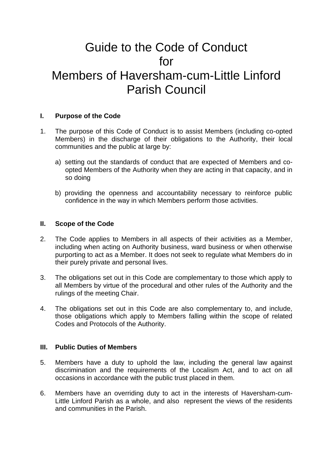# Guide to the Code of Conduct for Members of Haversham-cum-Little Linford Parish Council

#### **I. Purpose of the Code**

- 1. The purpose of this Code of Conduct is to assist Members (including co-opted Members) in the discharge of their obligations to the Authority, their local communities and the public at large by:
	- a) setting out the standards of conduct that are expected of Members and coopted Members of the Authority when they are acting in that capacity, and in so doing
	- b) providing the openness and accountability necessary to reinforce public confidence in the way in which Members perform those activities.

#### **II. Scope of the Code**

- 2. The Code applies to Members in all aspects of their activities as a Member, including when acting on Authority business, ward business or when otherwise purporting to act as a Member. It does not seek to regulate what Members do in their purely private and personal lives.
- 3. The obligations set out in this Code are complementary to those which apply to all Members by virtue of the procedural and other rules of the Authority and the rulings of the meeting Chair.
- 4. The obligations set out in this Code are also complementary to, and include, those obligations which apply to Members falling within the scope of related Codes and Protocols of the Authority.

#### **III. Public Duties of Members**

- 5. Members have a duty to uphold the law, including the general law against discrimination and the requirements of the Localism Act, and to act on all occasions in accordance with the public trust placed in them.
- 6. Members have an overriding duty to act in the interests of Haversham-cum-Little Linford Parish as a whole, and also represent the views of the residents and communities in the Parish.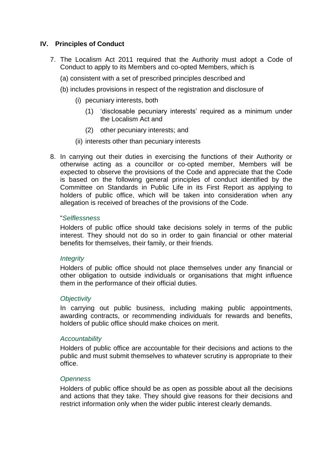# **IV. Principles of Conduct**

- 7. The Localism Act 2011 required that the Authority must adopt a Code of Conduct to apply to its Members and co-opted Members, which is
	- (a) consistent with a set of prescribed principles described and
	- (b) includes provisions in respect of the registration and disclosure of
		- (i) pecuniary interests, both
			- (1) 'disclosable pecuniary interests' required as a minimum under the Localism Act and
			- (2) other pecuniary interests; and
		- (ii) interests other than pecuniary interests
- 8. In carrying out their duties in exercising the functions of their Authority or otherwise acting as a councillor or co-opted member, Members will be expected to observe the provisions of the Code and appreciate that the Code is based on the following general principles of conduct identified by the Committee on Standards in Public Life in its First Report as applying to holders of public office, which will be taken into consideration when any allegation is received of breaches of the provisions of the Code.

#### "*Selflessness*

Holders of public office should take decisions solely in terms of the public interest. They should not do so in order to gain financial or other material benefits for themselves, their family, or their friends.

#### *Integrity*

Holders of public office should not place themselves under any financial or other obligation to outside individuals or organisations that might influence them in the performance of their official duties.

#### *Objectivity*

In carrying out public business, including making public appointments, awarding contracts, or recommending individuals for rewards and benefits, holders of public office should make choices on merit.

#### *Accountability*

Holders of public office are accountable for their decisions and actions to the public and must submit themselves to whatever scrutiny is appropriate to their office.

#### *Openness*

Holders of public office should be as open as possible about all the decisions and actions that they take. They should give reasons for their decisions and restrict information only when the wider public interest clearly demands.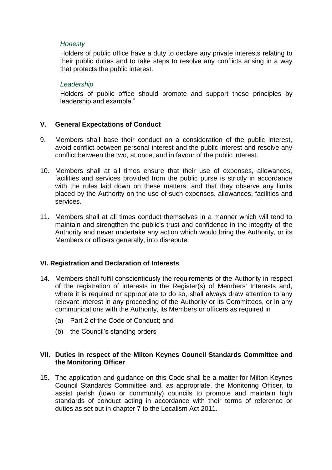#### *Honesty*

Holders of public office have a duty to declare any private interests relating to their public duties and to take steps to resolve any conflicts arising in a way that protects the public interest.

# *Leadership*

Holders of public office should promote and support these principles by leadership and example."

# **V. General Expectations of Conduct**

- 9. Members shall base their conduct on a consideration of the public interest, avoid conflict between personal interest and the public interest and resolve any conflict between the two, at once, and in favour of the public interest.
- 10. Members shall at all times ensure that their use of expenses, allowances, facilities and services provided from the public purse is strictly in accordance with the rules laid down on these matters, and that they observe any limits placed by the Authority on the use of such expenses, allowances, facilities and services.
- 11. Members shall at all times conduct themselves in a manner which will tend to maintain and strengthen the public's trust and confidence in the integrity of the Authority and never undertake any action which would bring the Authority, or its Members or officers generally, into disrepute.

# **VI. Registration and Declaration of Interests**

- 14. Members shall fulfil conscientiously the requirements of the Authority in respect of the registration of interests in the Register(s) of Members' Interests and, where it is required or appropriate to do so, shall always draw attention to any relevant interest in any proceeding of the Authority or its Committees, or in any communications with the Authority, its Members or officers as required in
	- (a) Part 2 of the Code of Conduct; and
	- (b) the Council's standing orders

# **VII. Duties in respect of the Milton Keynes Council Standards Committee and the Monitoring Officer**

15. The application and guidance on this Code shall be a matter for Milton Keynes Council Standards Committee and, as appropriate, the Monitoring Officer, to assist parish (town or community) councils to promote and maintain high standards of conduct acting in accordance with their terms of reference or duties as set out in chapter 7 to the Localism Act 2011.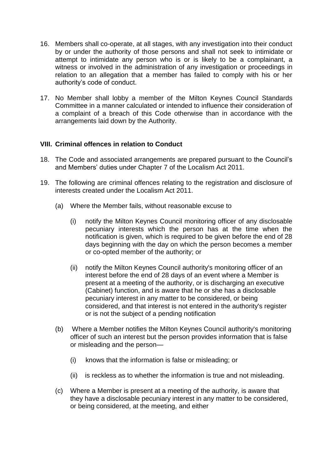- 16. Members shall co-operate, at all stages, with any investigation into their conduct by or under the authority of those persons and shall not seek to intimidate or attempt to intimidate any person who is or is likely to be a complainant, a witness or involved in the administration of any investigation or proceedings in relation to an allegation that a member has failed to comply with his or her authority's code of conduct.
- 17. No Member shall lobby a member of the Milton Keynes Council Standards Committee in a manner calculated or intended to influence their consideration of a complaint of a breach of this Code otherwise than in accordance with the arrangements laid down by the Authority.

# **VIII. Criminal offences in relation to Conduct**

- 18. The Code and associated arrangements are prepared pursuant to the Council's and Members' duties under Chapter 7 of the Localism Act 2011.
- 19. The following are criminal offences relating to the registration and disclosure of interests created under the Localism Act 2011.
	- (a) Where the Member fails, without reasonable excuse to
		- (i) notify the Milton Keynes Council monitoring officer of any disclosable pecuniary interests which the person has at the time when the notification is given, which is required to be given before the end of 28 days beginning with the day on which the person becomes a member or co-opted member of the authority; or
		- (ii) notify the Milton Keynes Council authority's monitoring officer of an interest before the end of 28 days of an event where a Member is present at a meeting of the authority, or is discharging an executive (Cabinet) function, and is aware that he or she has a disclosable pecuniary interest in any matter to be considered, or being considered, and that interest is not entered in the authority's register or is not the subject of a pending notification
	- (b) Where a Member notifies the Milton Keynes Council authority's monitoring officer of such an interest but the person provides information that is false or misleading and the person—
		- (i) knows that the information is false or misleading; or
		- (ii) is reckless as to whether the information is true and not misleading.
	- (c) Where a Member is present at a meeting of the authority, is aware that they have a disclosable pecuniary interest in any matter to be considered, or being considered, at the meeting, and either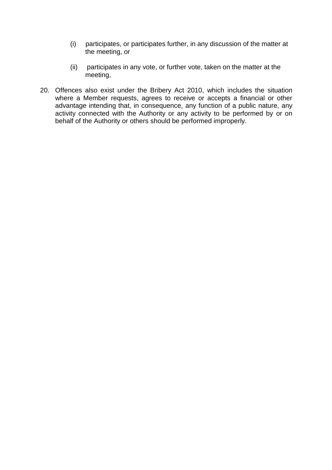- (i) participates, or participates further, in any discussion of the matter at the meeting, or
- (ii) participates in any vote, or further vote, taken on the matter at the meeting,
- 20. Offences also exist under the Bribery Act 2010, which includes the situation where a Member requests, agrees to receive or accepts a financial or other advantage intending that, in consequence, any function of a public nature, any activity connected with the Authority or any activity to be performed by or on behalf of the Authority or others should be performed improperly.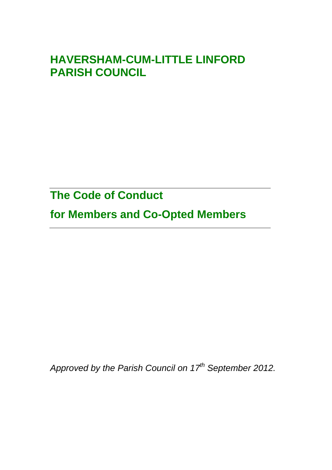# **HAVERSHAM-CUM-LITTLE LINFORD PARISH COUNCIL**

**The Code of Conduct**

**for Members and Co-Opted Members**

*Approved by the Parish Council on 17th September 2012.*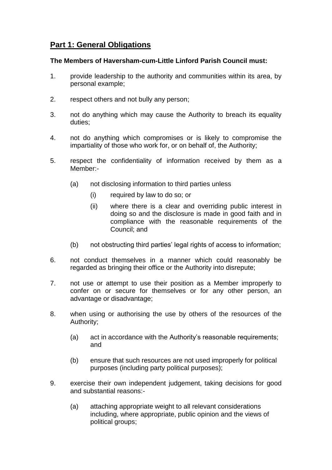# **Part 1: General Obligations**

#### **The Members of Haversham-cum-Little Linford Parish Council must:**

- 1. provide leadership to the authority and communities within its area, by personal example;
- 2. respect others and not bully any person;
- 3. not do anything which may cause the Authority to breach its equality duties;
- 4. not do anything which compromises or is likely to compromise the impartiality of those who work for, or on behalf of, the Authority;
- 5. respect the confidentiality of information received by them as a Member:-
	- (a) not disclosing information to third parties unless
		- (i) required by law to do so; or
		- (ii) where there is a clear and overriding public interest in doing so and the disclosure is made in good faith and in compliance with the reasonable requirements of the Council; and
	- (b) not obstructing third parties' legal rights of access to information;
- 6. not conduct themselves in a manner which could reasonably be regarded as bringing their office or the Authority into disrepute;
- 7. not use or attempt to use their position as a Member improperly to confer on or secure for themselves or for any other person, an advantage or disadvantage;
- 8. when using or authorising the use by others of the resources of the Authority;
	- (a) act in accordance with the Authority's reasonable requirements; and
	- (b) ensure that such resources are not used improperly for political purposes (including party political purposes);
- 9. exercise their own independent judgement, taking decisions for good and substantial reasons:-
	- (a) attaching appropriate weight to all relevant considerations including, where appropriate, public opinion and the views of political groups;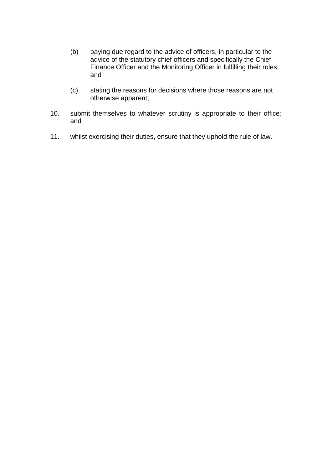- (b) paying due regard to the advice of officers, in particular to the advice of the statutory chief officers and specifically the Chief Finance Officer and the Monitoring Officer in fulfilling their roles; and
- (c) stating the reasons for decisions where those reasons are not otherwise apparent;
- 10. submit themselves to whatever scrutiny is appropriate to their office; and
- 11. whilst exercising their duties, ensure that they uphold the rule of law.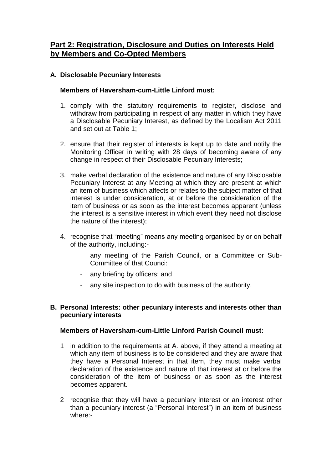# **Part 2: Registration, Disclosure and Duties on Interests Held by Members and Co-Opted Members**

# **A. Disclosable Pecuniary Interests**

#### **Members of Haversham-cum-Little Linford must:**

- 1. comply with the statutory requirements to register, disclose and withdraw from participating in respect of any matter in which they have a Disclosable Pecuniary Interest, as defined by the Localism Act 2011 and set out at Table 1;
- 2. ensure that their register of interests is kept up to date and notify the Monitoring Officer in writing with 28 days of becoming aware of any change in respect of their Disclosable Pecuniary Interests;
- 3. make verbal declaration of the existence and nature of any Disclosable Pecuniary Interest at any Meeting at which they are present at which an item of business which affects or relates to the subject matter of that interest is under consideration, at or before the consideration of the item of business or as soon as the interest becomes apparent (unless the interest is a sensitive interest in which event they need not disclose the nature of the interest);
- 4. recognise that "meeting" means any meeting organised by or on behalf of the authority, including:-
	- any meeting of the Parish Council, or a Committee or Sub-Committee of that Counci:
	- any briefing by officers; and
	- any site inspection to do with business of the authority.

#### **B. Personal Interests: other pecuniary interests and interests other than pecuniary interests**

#### **Members of Haversham-cum-Little Linford Parish Council must:**

- 1 in addition to the requirements at A. above, if they attend a meeting at which any item of business is to be considered and they are aware that they have a Personal Interest in that item, they must make verbal declaration of the existence and nature of that interest at or before the consideration of the item of business or as soon as the interest becomes apparent.
- 2 recognise that they will have a pecuniary interest or an interest other than a pecuniary interest (a "Personal Interest") in an item of business where:-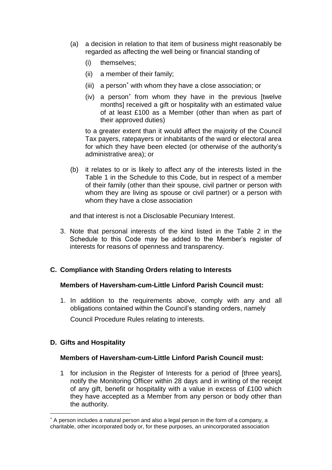- (a) a decision in relation to that item of business might reasonably be regarded as affecting the well being or financial standing of
	- (i) themselves;
	- (ii) a member of their family;
	- $(iii)$  a person<sup>\*</sup> with whom they have a close association; or
	- (iv) a person<sup>\*</sup> from whom they have in the previous [twelve months] received a gift or hospitality with an estimated value of at least £100 as a Member (other than when as part of their approved duties)

to a greater extent than it would affect the majority of the Council Tax payers, ratepayers or inhabitants of the ward or electoral area for which they have been elected (or otherwise of the authority's administrative area); or

(b) it relates to or is likely to affect any of the interests listed in the Table 1 in the Schedule to this Code, but in respect of a member of their family (other than their spouse, civil partner or person with whom they are living as spouse or civil partner) or a person with whom they have a close association

and that interest is not a Disclosable Pecuniary Interest.

3. Note that personal interests of the kind listed in the Table 2 in the Schedule to this Code may be added to the Member's register of interests for reasons of openness and transparency.

# **C. Compliance with Standing Orders relating to Interests**

#### **Members of Haversham-cum-Little Linford Parish Council must:**

1. In addition to the requirements above, comply with any and all obligations contained within the Council's standing orders, namely

Council Procedure Rules relating to interests.

# **D. Gifts and Hospitality**

1

#### **Members of Haversham-cum-Little Linford Parish Council must:**

1 for inclusion in the Register of Interests for a period of [three years], notify the Monitoring Officer within 28 days and in writing of the receipt of any gift, benefit or hospitality with a value in excess of £100 which they have accepted as a Member from any person or body other than the authority.

A person includes a natural person and also a legal person in the form of a company, a charitable, other incorporated body or, for these purposes, an unincorporated association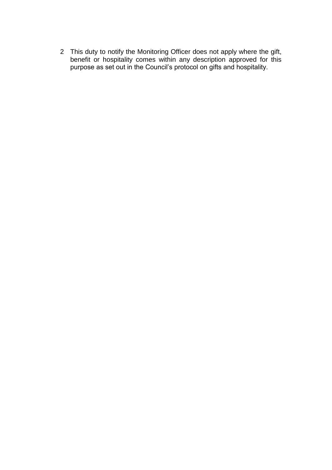2 This duty to notify the Monitoring Officer does not apply where the gift, benefit or hospitality comes within any description approved for this purpose as set out in the Council's protocol on gifts and hospitality.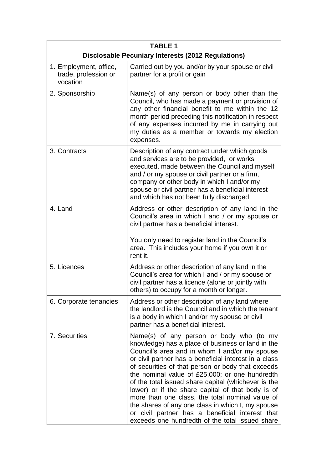| <b>TABLE 1</b>                                             |                                                                                                                                                                                                                                                                                                                                                                                                                                                                                                                                                                                                                                          |  |
|------------------------------------------------------------|------------------------------------------------------------------------------------------------------------------------------------------------------------------------------------------------------------------------------------------------------------------------------------------------------------------------------------------------------------------------------------------------------------------------------------------------------------------------------------------------------------------------------------------------------------------------------------------------------------------------------------------|--|
| <b>Disclosable Pecuniary Interests (2012 Regulations)</b>  |                                                                                                                                                                                                                                                                                                                                                                                                                                                                                                                                                                                                                                          |  |
| 1. Employment, office,<br>trade, profession or<br>vocation | Carried out by you and/or by your spouse or civil<br>partner for a profit or gain                                                                                                                                                                                                                                                                                                                                                                                                                                                                                                                                                        |  |
| 2. Sponsorship                                             | Name(s) of any person or body other than the<br>Council, who has made a payment or provision of<br>any other financial benefit to me within the 12<br>month period preceding this notification in respect<br>of any expenses incurred by me in carrying out<br>my duties as a member or towards my election<br>expenses.                                                                                                                                                                                                                                                                                                                 |  |
| 3. Contracts                                               | Description of any contract under which goods<br>and services are to be provided, or works<br>executed, made between the Council and myself<br>and / or my spouse or civil partner or a firm,<br>company or other body in which I and/or my<br>spouse or civil partner has a beneficial interest<br>and which has not been fully discharged                                                                                                                                                                                                                                                                                              |  |
| 4. Land                                                    | Address or other description of any land in the<br>Council's area in which I and / or my spouse or<br>civil partner has a beneficial interest.                                                                                                                                                                                                                                                                                                                                                                                                                                                                                           |  |
|                                                            | You only need to register land in the Council's<br>area. This includes your home if you own it or<br>rent it.                                                                                                                                                                                                                                                                                                                                                                                                                                                                                                                            |  |
| 5. Licences                                                | Address or other description of any land in the<br>Council's area for which I and / or my spouse or<br>civil partner has a licence (alone or jointly with<br>others) to occupy for a month or longer.                                                                                                                                                                                                                                                                                                                                                                                                                                    |  |
| 6. Corporate tenancies                                     | Address or other description of any land where<br>the landlord is the Council and in which the tenant<br>is a body in which I and/or my spouse or civil<br>partner has a beneficial interest.                                                                                                                                                                                                                                                                                                                                                                                                                                            |  |
| 7. Securities                                              | Name(s) of any person or body who (to my<br>knowledge) has a place of business or land in the<br>Council's area and in whom I and/or my spouse<br>or civil partner has a beneficial interest in a class<br>of securities of that person or body that exceeds<br>the nominal value of £25,000; or one hundredth<br>of the total issued share capital (whichever is the<br>lower) or if the share capital of that body is of<br>more than one class, the total nominal value of<br>the shares of any one class in which I, my spouse<br>or civil partner has a beneficial interest that<br>exceeds one hundredth of the total issued share |  |